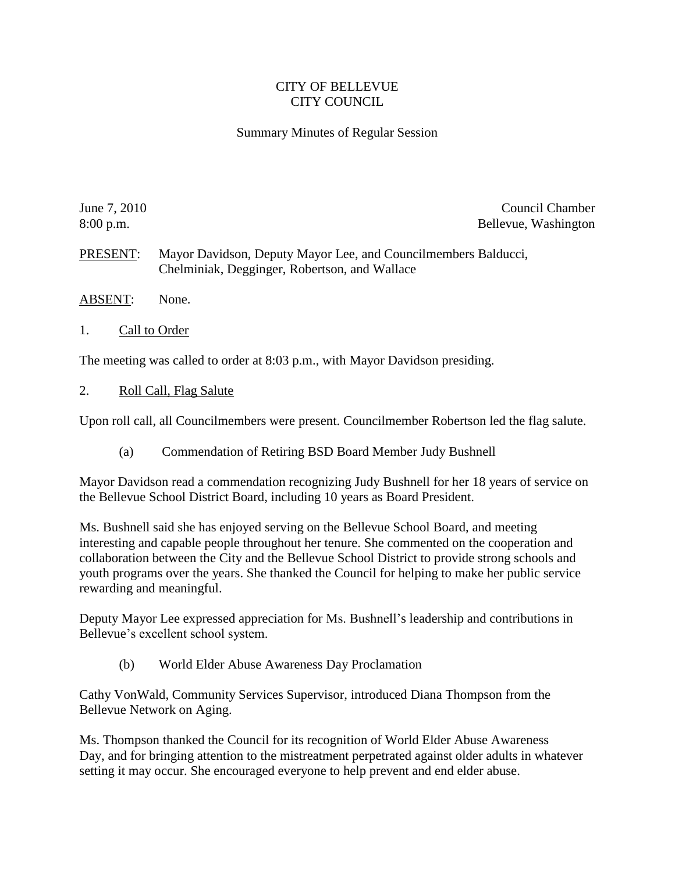## CITY OF BELLEVUE CITY COUNCIL

## Summary Minutes of Regular Session

June 7, 2010 Council Chamber 2010 8:00 p.m. Bellevue, Washington

PRESENT: Mayor Davidson, Deputy Mayor Lee, and Councilmembers Balducci, Chelminiak, Degginger, Robertson, and Wallace

- ABSENT: None.
- 1. Call to Order

The meeting was called to order at 8:03 p.m., with Mayor Davidson presiding.

2. Roll Call, Flag Salute

Upon roll call, all Councilmembers were present. Councilmember Robertson led the flag salute.

(a) Commendation of Retiring BSD Board Member Judy Bushnell

Mayor Davidson read a commendation recognizing Judy Bushnell for her 18 years of service on the Bellevue School District Board, including 10 years as Board President.

Ms. Bushnell said she has enjoyed serving on the Bellevue School Board, and meeting interesting and capable people throughout her tenure. She commented on the cooperation and collaboration between the City and the Bellevue School District to provide strong schools and youth programs over the years. She thanked the Council for helping to make her public service rewarding and meaningful.

Deputy Mayor Lee expressed appreciation for Ms. Bushnell's leadership and contributions in Bellevue's excellent school system.

(b) World Elder Abuse Awareness Day Proclamation

Cathy VonWald, Community Services Supervisor, introduced Diana Thompson from the Bellevue Network on Aging.

Ms. Thompson thanked the Council for its recognition of World Elder Abuse Awareness Day, and for bringing attention to the mistreatment perpetrated against older adults in whatever setting it may occur. She encouraged everyone to help prevent and end elder abuse.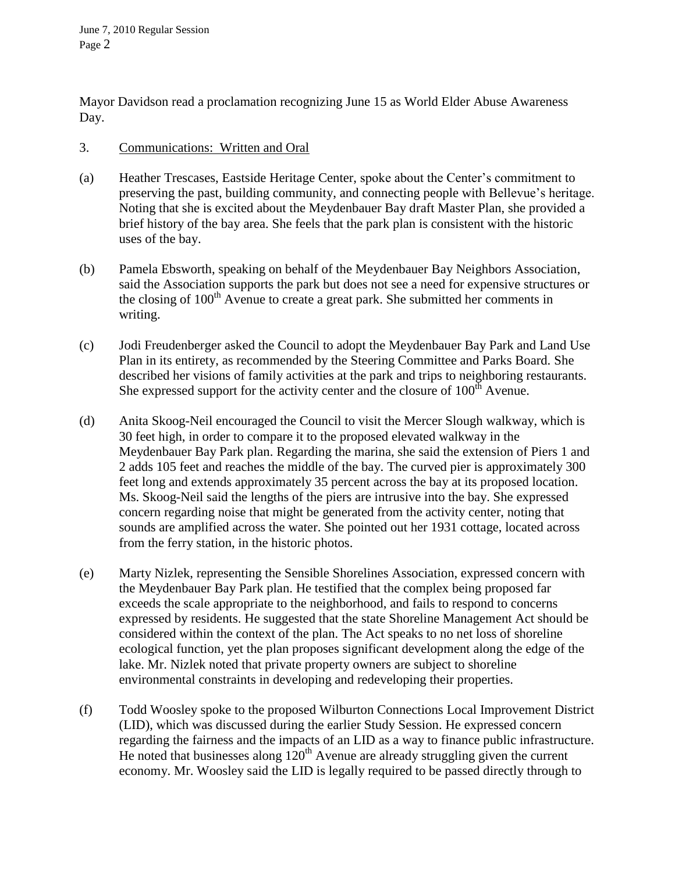Mayor Davidson read a proclamation recognizing June 15 as World Elder Abuse Awareness Day.

## 3. Communications: Written and Oral

- (a) Heather Trescases, Eastside Heritage Center, spoke about the Center's commitment to preserving the past, building community, and connecting people with Bellevue's heritage. Noting that she is excited about the Meydenbauer Bay draft Master Plan, she provided a brief history of the bay area. She feels that the park plan is consistent with the historic uses of the bay.
- (b) Pamela Ebsworth, speaking on behalf of the Meydenbauer Bay Neighbors Association, said the Association supports the park but does not see a need for expensive structures or the closing of  $100<sup>th</sup>$  Avenue to create a great park. She submitted her comments in writing.
- (c) Jodi Freudenberger asked the Council to adopt the Meydenbauer Bay Park and Land Use Plan in its entirety, as recommended by the Steering Committee and Parks Board. She described her visions of family activities at the park and trips to neighboring restaurants. She expressed support for the activity center and the closure of  $100<sup>th</sup>$  Avenue.
- (d) Anita Skoog-Neil encouraged the Council to visit the Mercer Slough walkway, which is 30 feet high, in order to compare it to the proposed elevated walkway in the Meydenbauer Bay Park plan. Regarding the marina, she said the extension of Piers 1 and 2 adds 105 feet and reaches the middle of the bay. The curved pier is approximately 300 feet long and extends approximately 35 percent across the bay at its proposed location. Ms. Skoog-Neil said the lengths of the piers are intrusive into the bay. She expressed concern regarding noise that might be generated from the activity center, noting that sounds are amplified across the water. She pointed out her 1931 cottage, located across from the ferry station, in the historic photos.
- (e) Marty Nizlek, representing the Sensible Shorelines Association, expressed concern with the Meydenbauer Bay Park plan. He testified that the complex being proposed far exceeds the scale appropriate to the neighborhood, and fails to respond to concerns expressed by residents. He suggested that the state Shoreline Management Act should be considered within the context of the plan. The Act speaks to no net loss of shoreline ecological function, yet the plan proposes significant development along the edge of the lake. Mr. Nizlek noted that private property owners are subject to shoreline environmental constraints in developing and redeveloping their properties.
- (f) Todd Woosley spoke to the proposed Wilburton Connections Local Improvement District (LID), which was discussed during the earlier Study Session. He expressed concern regarding the fairness and the impacts of an LID as a way to finance public infrastructure. He noted that businesses along  $120<sup>th</sup>$  Avenue are already struggling given the current economy. Mr. Woosley said the LID is legally required to be passed directly through to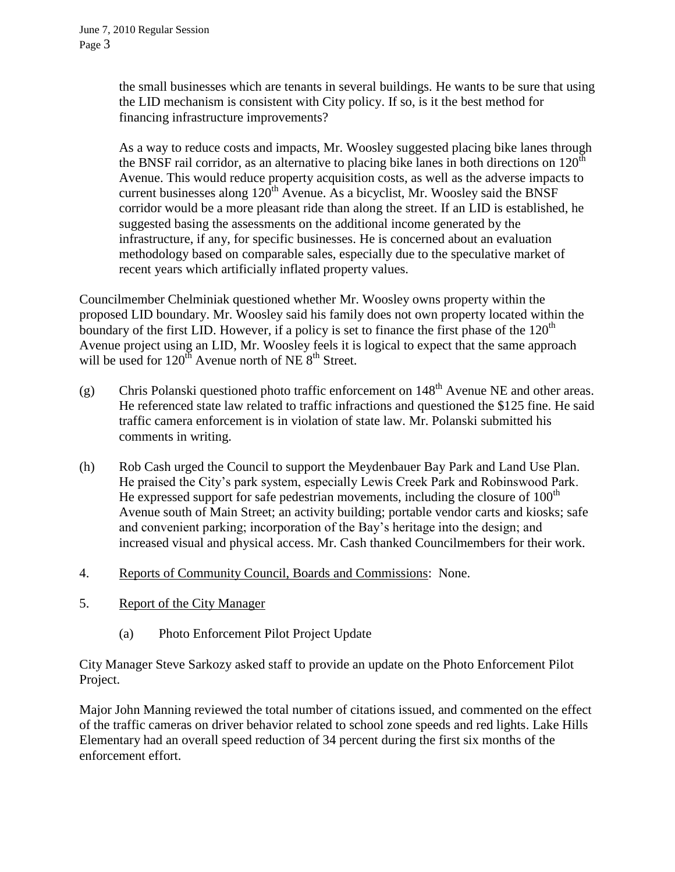the small businesses which are tenants in several buildings. He wants to be sure that using the LID mechanism is consistent with City policy. If so, is it the best method for financing infrastructure improvements?

As a way to reduce costs and impacts, Mr. Woosley suggested placing bike lanes through the BNSF rail corridor, as an alternative to placing bike lanes in both directions on  $120<sup>th</sup>$ Avenue. This would reduce property acquisition costs, as well as the adverse impacts to current businesses along  $120^{th}$  Avenue. As a bicyclist, Mr. Woosley said the BNSF corridor would be a more pleasant ride than along the street. If an LID is established, he suggested basing the assessments on the additional income generated by the infrastructure, if any, for specific businesses. He is concerned about an evaluation methodology based on comparable sales, especially due to the speculative market of recent years which artificially inflated property values.

Councilmember Chelminiak questioned whether Mr. Woosley owns property within the proposed LID boundary. Mr. Woosley said his family does not own property located within the boundary of the first LID. However, if a policy is set to finance the first phase of the  $120<sup>th</sup>$ Avenue project using an LID, Mr. Woosley feels it is logical to expect that the same approach will be used for  $120^{th}$  Avenue north of NE  $8^{th}$  Street.

- (g) Chris Polanski questioned photo traffic enforcement on  $148<sup>th</sup>$  Avenue NE and other areas. He referenced state law related to traffic infractions and questioned the \$125 fine. He said traffic camera enforcement is in violation of state law. Mr. Polanski submitted his comments in writing.
- (h) Rob Cash urged the Council to support the Meydenbauer Bay Park and Land Use Plan. He praised the City's park system, especially Lewis Creek Park and Robinswood Park. He expressed support for safe pedestrian movements, including the closure of  $100<sup>th</sup>$ Avenue south of Main Street; an activity building; portable vendor carts and kiosks; safe and convenient parking; incorporation of the Bay's heritage into the design; and increased visual and physical access. Mr. Cash thanked Councilmembers for their work.
- 4. Reports of Community Council, Boards and Commissions: None.
- 5. Report of the City Manager
	- (a) Photo Enforcement Pilot Project Update

City Manager Steve Sarkozy asked staff to provide an update on the Photo Enforcement Pilot Project.

Major John Manning reviewed the total number of citations issued, and commented on the effect of the traffic cameras on driver behavior related to school zone speeds and red lights. Lake Hills Elementary had an overall speed reduction of 34 percent during the first six months of the enforcement effort.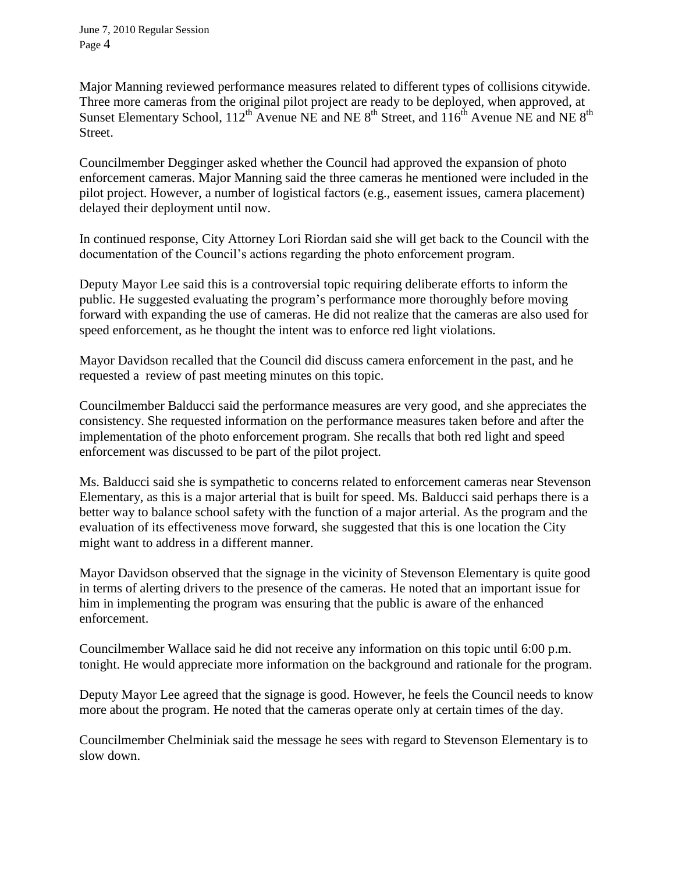Major Manning reviewed performance measures related to different types of collisions citywide. Three more cameras from the original pilot project are ready to be deployed, when approved, at Sunset Elementary School,  $112^{th}$  Avenue NE and NE  $8^{th}$  Street, and  $116^{th}$  Avenue NE and NE  $8^{th}$ Street.

Councilmember Degginger asked whether the Council had approved the expansion of photo enforcement cameras. Major Manning said the three cameras he mentioned were included in the pilot project. However, a number of logistical factors (e.g., easement issues, camera placement) delayed their deployment until now.

In continued response, City Attorney Lori Riordan said she will get back to the Council with the documentation of the Council's actions regarding the photo enforcement program.

Deputy Mayor Lee said this is a controversial topic requiring deliberate efforts to inform the public. He suggested evaluating the program's performance more thoroughly before moving forward with expanding the use of cameras. He did not realize that the cameras are also used for speed enforcement, as he thought the intent was to enforce red light violations.

Mayor Davidson recalled that the Council did discuss camera enforcement in the past, and he requested a review of past meeting minutes on this topic.

Councilmember Balducci said the performance measures are very good, and she appreciates the consistency. She requested information on the performance measures taken before and after the implementation of the photo enforcement program. She recalls that both red light and speed enforcement was discussed to be part of the pilot project.

Ms. Balducci said she is sympathetic to concerns related to enforcement cameras near Stevenson Elementary, as this is a major arterial that is built for speed. Ms. Balducci said perhaps there is a better way to balance school safety with the function of a major arterial. As the program and the evaluation of its effectiveness move forward, she suggested that this is one location the City might want to address in a different manner.

Mayor Davidson observed that the signage in the vicinity of Stevenson Elementary is quite good in terms of alerting drivers to the presence of the cameras. He noted that an important issue for him in implementing the program was ensuring that the public is aware of the enhanced enforcement.

Councilmember Wallace said he did not receive any information on this topic until 6:00 p.m. tonight. He would appreciate more information on the background and rationale for the program.

Deputy Mayor Lee agreed that the signage is good. However, he feels the Council needs to know more about the program. He noted that the cameras operate only at certain times of the day.

Councilmember Chelminiak said the message he sees with regard to Stevenson Elementary is to slow down.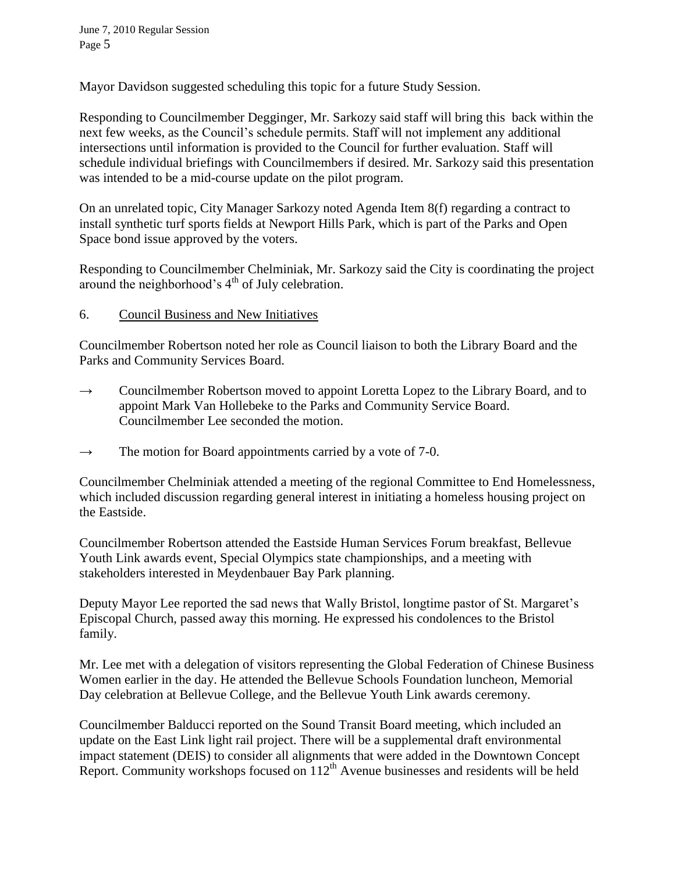Mayor Davidson suggested scheduling this topic for a future Study Session.

Responding to Councilmember Degginger, Mr. Sarkozy said staff will bring this back within the next few weeks, as the Council's schedule permits. Staff will not implement any additional intersections until information is provided to the Council for further evaluation. Staff will schedule individual briefings with Councilmembers if desired. Mr. Sarkozy said this presentation was intended to be a mid-course update on the pilot program.

On an unrelated topic, City Manager Sarkozy noted Agenda Item 8(f) regarding a contract to install synthetic turf sports fields at Newport Hills Park, which is part of the Parks and Open Space bond issue approved by the voters.

Responding to Councilmember Chelminiak, Mr. Sarkozy said the City is coordinating the project around the neighborhood's  $4<sup>th</sup>$  of July celebration.

## 6. Council Business and New Initiatives

Councilmember Robertson noted her role as Council liaison to both the Library Board and the Parks and Community Services Board.

- $\rightarrow$  Councilmember Robertson moved to appoint Loretta Lopez to the Library Board, and to appoint Mark Van Hollebeke to the Parks and Community Service Board. Councilmember Lee seconded the motion.
- $\rightarrow$  The motion for Board appointments carried by a vote of 7-0.

Councilmember Chelminiak attended a meeting of the regional Committee to End Homelessness, which included discussion regarding general interest in initiating a homeless housing project on the Eastside.

Councilmember Robertson attended the Eastside Human Services Forum breakfast, Bellevue Youth Link awards event, Special Olympics state championships, and a meeting with stakeholders interested in Meydenbauer Bay Park planning.

Deputy Mayor Lee reported the sad news that Wally Bristol, longtime pastor of St. Margaret's Episcopal Church, passed away this morning. He expressed his condolences to the Bristol family.

Mr. Lee met with a delegation of visitors representing the Global Federation of Chinese Business Women earlier in the day. He attended the Bellevue Schools Foundation luncheon, Memorial Day celebration at Bellevue College, and the Bellevue Youth Link awards ceremony.

Councilmember Balducci reported on the Sound Transit Board meeting, which included an update on the East Link light rail project. There will be a supplemental draft environmental impact statement (DEIS) to consider all alignments that were added in the Downtown Concept Report. Community workshops focused on 112<sup>th</sup> Avenue businesses and residents will be held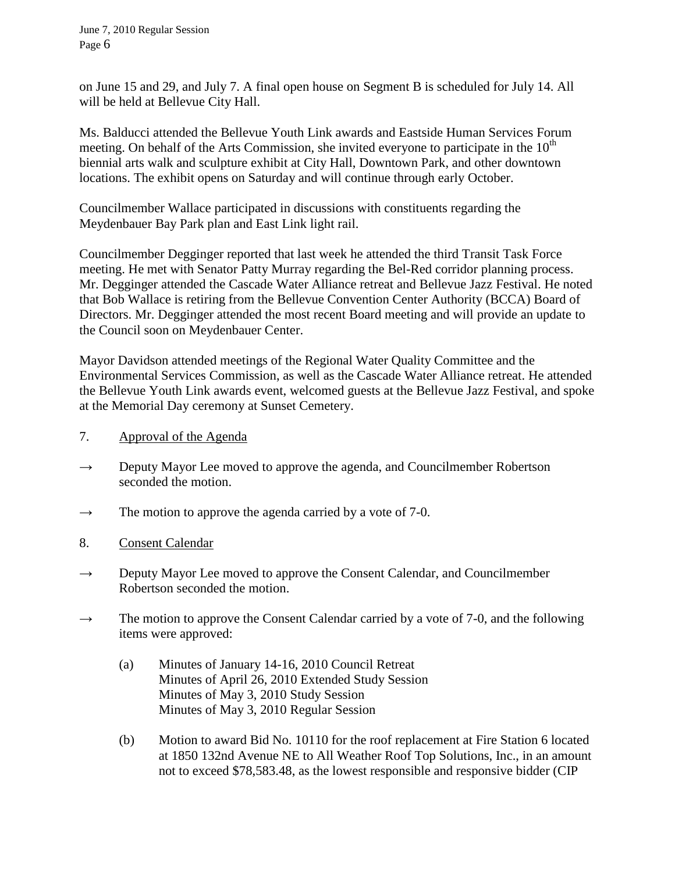on June 15 and 29, and July 7. A final open house on Segment B is scheduled for July 14. All will be held at Bellevue City Hall.

Ms. Balducci attended the Bellevue Youth Link awards and Eastside Human Services Forum meeting. On behalf of the Arts Commission, she invited everyone to participate in the  $10<sup>th</sup>$ biennial arts walk and sculpture exhibit at City Hall, Downtown Park, and other downtown locations. The exhibit opens on Saturday and will continue through early October.

Councilmember Wallace participated in discussions with constituents regarding the Meydenbauer Bay Park plan and East Link light rail.

Councilmember Degginger reported that last week he attended the third Transit Task Force meeting. He met with Senator Patty Murray regarding the Bel-Red corridor planning process. Mr. Degginger attended the Cascade Water Alliance retreat and Bellevue Jazz Festival. He noted that Bob Wallace is retiring from the Bellevue Convention Center Authority (BCCA) Board of Directors. Mr. Degginger attended the most recent Board meeting and will provide an update to the Council soon on Meydenbauer Center.

Mayor Davidson attended meetings of the Regional Water Quality Committee and the Environmental Services Commission, as well as the Cascade Water Alliance retreat. He attended the Bellevue Youth Link awards event, welcomed guests at the Bellevue Jazz Festival, and spoke at the Memorial Day ceremony at Sunset Cemetery.

- 7. Approval of the Agenda
- $\rightarrow$  Deputy Mayor Lee moved to approve the agenda, and Councilmember Robertson seconded the motion.
- $\rightarrow$  The motion to approve the agenda carried by a vote of 7-0.
- 8. Consent Calendar
- $\rightarrow$  Deputy Mayor Lee moved to approve the Consent Calendar, and Councilmember Robertson seconded the motion.
- $\rightarrow$  The motion to approve the Consent Calendar carried by a vote of 7-0, and the following items were approved:
	- (a) Minutes of January 14-16, 2010 Council Retreat Minutes of April 26, 2010 Extended Study Session Minutes of May 3, 2010 Study Session Minutes of May 3, 2010 Regular Session
	- (b) Motion to award Bid No. 10110 for the roof replacement at Fire Station 6 located at 1850 132nd Avenue NE to All Weather Roof Top Solutions, Inc., in an amount not to exceed \$78,583.48, as the lowest responsible and responsive bidder (CIP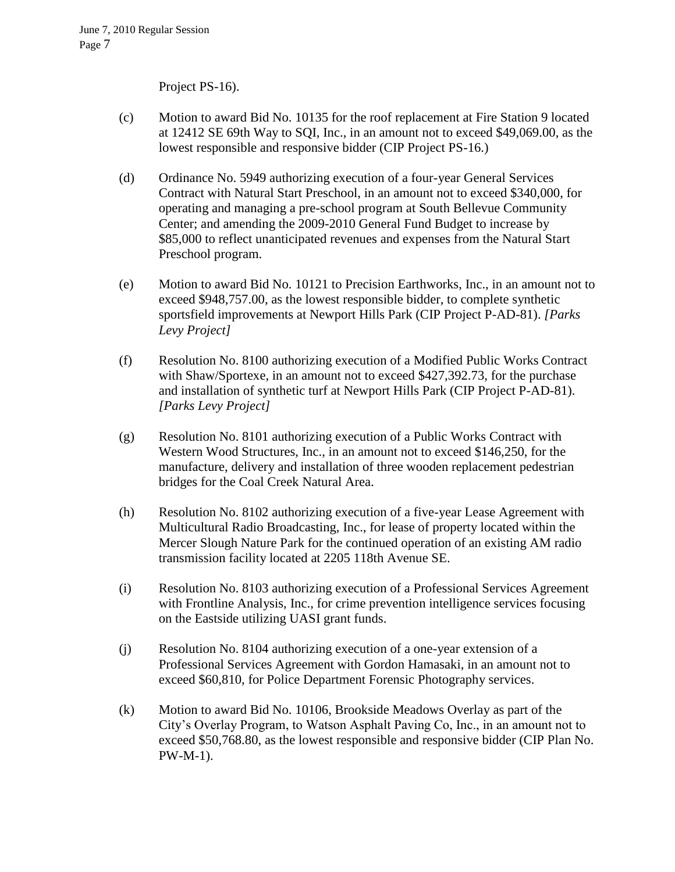Project PS-16).

- (c) Motion to award Bid No. 10135 for the roof replacement at Fire Station 9 located at 12412 SE 69th Way to SQI, Inc., in an amount not to exceed \$49,069.00, as the lowest responsible and responsive bidder (CIP Project PS-16.)
- (d) Ordinance No. 5949 authorizing execution of a four-year General Services Contract with Natural Start Preschool, in an amount not to exceed \$340,000, for operating and managing a pre-school program at South Bellevue Community Center; and amending the 2009-2010 General Fund Budget to increase by \$85,000 to reflect unanticipated revenues and expenses from the Natural Start Preschool program.
- (e) Motion to award Bid No. 10121 to Precision Earthworks, Inc., in an amount not to exceed \$948,757.00, as the lowest responsible bidder, to complete synthetic sportsfield improvements at Newport Hills Park (CIP Project P-AD-81). *[Parks Levy Project]*
- (f) Resolution No. 8100 authorizing execution of a Modified Public Works Contract with Shaw/Sportexe, in an amount not to exceed \$427,392.73, for the purchase and installation of synthetic turf at Newport Hills Park (CIP Project P-AD-81). *[Parks Levy Project]*
- (g) Resolution No. 8101 authorizing execution of a Public Works Contract with Western Wood Structures, Inc., in an amount not to exceed \$146,250, for the manufacture, delivery and installation of three wooden replacement pedestrian bridges for the Coal Creek Natural Area.
- (h) Resolution No. 8102 authorizing execution of a five-year Lease Agreement with Multicultural Radio Broadcasting, Inc., for lease of property located within the Mercer Slough Nature Park for the continued operation of an existing AM radio transmission facility located at 2205 118th Avenue SE.
- (i) Resolution No. 8103 authorizing execution of a Professional Services Agreement with Frontline Analysis, Inc., for crime prevention intelligence services focusing on the Eastside utilizing UASI grant funds.
- (j) Resolution No. 8104 authorizing execution of a one-year extension of a Professional Services Agreement with Gordon Hamasaki, in an amount not to exceed \$60,810, for Police Department Forensic Photography services.
- (k) Motion to award Bid No. 10106, Brookside Meadows Overlay as part of the City's Overlay Program, to Watson Asphalt Paving Co, Inc., in an amount not to exceed \$50,768.80, as the lowest responsible and responsive bidder (CIP Plan No. PW-M-1).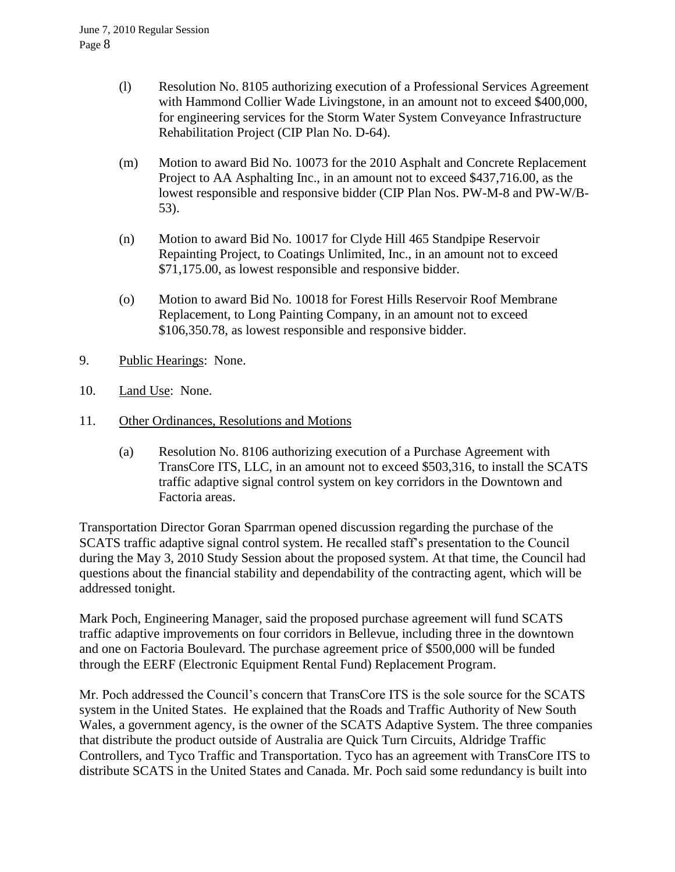- (l) Resolution No. 8105 authorizing execution of a Professional Services Agreement with Hammond Collier Wade Livingstone, in an amount not to exceed \$400,000, for engineering services for the Storm Water System Conveyance Infrastructure Rehabilitation Project (CIP Plan No. D-64).
- (m) Motion to award Bid No. 10073 for the 2010 Asphalt and Concrete Replacement Project to AA Asphalting Inc., in an amount not to exceed \$437,716.00, as the lowest responsible and responsive bidder (CIP Plan Nos. PW-M-8 and PW-W/B-53).
- (n) Motion to award Bid No. 10017 for Clyde Hill 465 Standpipe Reservoir Repainting Project, to Coatings Unlimited, Inc., in an amount not to exceed \$71,175.00, as lowest responsible and responsive bidder.
- (o) Motion to award Bid No. 10018 for Forest Hills Reservoir Roof Membrane Replacement, to Long Painting Company, in an amount not to exceed \$106,350.78, as lowest responsible and responsive bidder.
- 9. Public Hearings: None.
- 10. Land Use: None.
- 11. Other Ordinances, Resolutions and Motions
	- (a) Resolution No. 8106 authorizing execution of a Purchase Agreement with TransCore ITS, LLC, in an amount not to exceed \$503,316, to install the SCATS traffic adaptive signal control system on key corridors in the Downtown and Factoria areas.

Transportation Director Goran Sparrman opened discussion regarding the purchase of the SCATS traffic adaptive signal control system. He recalled staff's presentation to the Council during the May 3, 2010 Study Session about the proposed system. At that time, the Council had questions about the financial stability and dependability of the contracting agent, which will be addressed tonight.

Mark Poch, Engineering Manager, said the proposed purchase agreement will fund SCATS traffic adaptive improvements on four corridors in Bellevue, including three in the downtown and one on Factoria Boulevard. The purchase agreement price of \$500,000 will be funded through the EERF (Electronic Equipment Rental Fund) Replacement Program.

Mr. Poch addressed the Council's concern that TransCore ITS is the sole source for the SCATS system in the United States. He explained that the Roads and Traffic Authority of New South Wales, a government agency, is the owner of the SCATS Adaptive System. The three companies that distribute the product outside of Australia are Quick Turn Circuits, Aldridge Traffic Controllers, and Tyco Traffic and Transportation. Tyco has an agreement with TransCore ITS to distribute SCATS in the United States and Canada. Mr. Poch said some redundancy is built into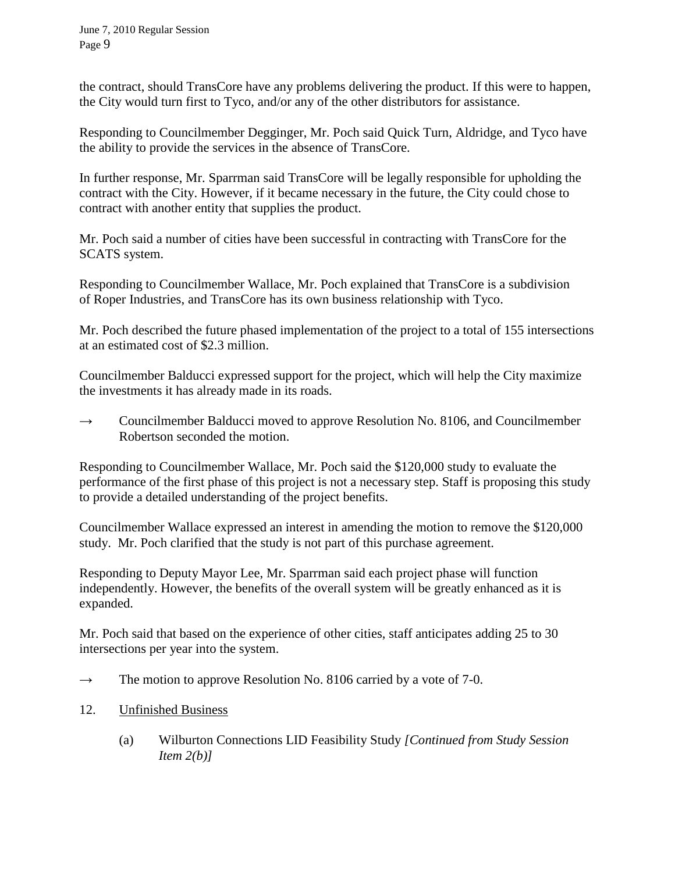the contract, should TransCore have any problems delivering the product. If this were to happen, the City would turn first to Tyco, and/or any of the other distributors for assistance.

Responding to Councilmember Degginger, Mr. Poch said Quick Turn, Aldridge, and Tyco have the ability to provide the services in the absence of TransCore.

In further response, Mr. Sparrman said TransCore will be legally responsible for upholding the contract with the City. However, if it became necessary in the future, the City could chose to contract with another entity that supplies the product.

Mr. Poch said a number of cities have been successful in contracting with TransCore for the SCATS system.

Responding to Councilmember Wallace, Mr. Poch explained that TransCore is a subdivision of Roper Industries, and TransCore has its own business relationship with Tyco.

Mr. Poch described the future phased implementation of the project to a total of 155 intersections at an estimated cost of \$2.3 million.

Councilmember Balducci expressed support for the project, which will help the City maximize the investments it has already made in its roads.

**→** Councilmember Balducci moved to approve Resolution No. 8106, and Councilmember Robertson seconded the motion.

Responding to Councilmember Wallace, Mr. Poch said the \$120,000 study to evaluate the performance of the first phase of this project is not a necessary step. Staff is proposing this study to provide a detailed understanding of the project benefits.

Councilmember Wallace expressed an interest in amending the motion to remove the \$120,000 study. Mr. Poch clarified that the study is not part of this purchase agreement.

Responding to Deputy Mayor Lee, Mr. Sparrman said each project phase will function independently. However, the benefits of the overall system will be greatly enhanced as it is expanded.

Mr. Poch said that based on the experience of other cities, staff anticipates adding 25 to 30 intersections per year into the system.

- $\rightarrow$  The motion to approve Resolution No. 8106 carried by a vote of 7-0.
- 12. Unfinished Business
	- (a) Wilburton Connections LID Feasibility Study *[Continued from Study Session Item 2(b)]*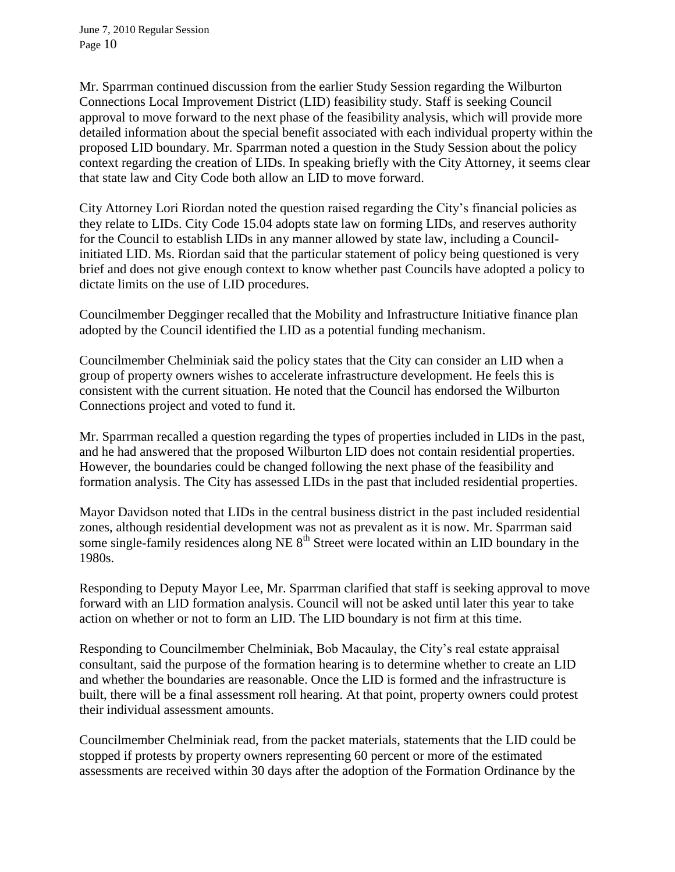Mr. Sparrman continued discussion from the earlier Study Session regarding the Wilburton Connections Local Improvement District (LID) feasibility study. Staff is seeking Council approval to move forward to the next phase of the feasibility analysis, which will provide more detailed information about the special benefit associated with each individual property within the proposed LID boundary. Mr. Sparrman noted a question in the Study Session about the policy context regarding the creation of LIDs. In speaking briefly with the City Attorney, it seems clear that state law and City Code both allow an LID to move forward.

City Attorney Lori Riordan noted the question raised regarding the City's financial policies as they relate to LIDs. City Code 15.04 adopts state law on forming LIDs, and reserves authority for the Council to establish LIDs in any manner allowed by state law, including a Councilinitiated LID. Ms. Riordan said that the particular statement of policy being questioned is very brief and does not give enough context to know whether past Councils have adopted a policy to dictate limits on the use of LID procedures.

Councilmember Degginger recalled that the Mobility and Infrastructure Initiative finance plan adopted by the Council identified the LID as a potential funding mechanism.

Councilmember Chelminiak said the policy states that the City can consider an LID when a group of property owners wishes to accelerate infrastructure development. He feels this is consistent with the current situation. He noted that the Council has endorsed the Wilburton Connections project and voted to fund it.

Mr. Sparrman recalled a question regarding the types of properties included in LIDs in the past, and he had answered that the proposed Wilburton LID does not contain residential properties. However, the boundaries could be changed following the next phase of the feasibility and formation analysis. The City has assessed LIDs in the past that included residential properties.

Mayor Davidson noted that LIDs in the central business district in the past included residential zones, although residential development was not as prevalent as it is now. Mr. Sparrman said some single-family residences along NE  $8<sup>th</sup>$  Street were located within an LID boundary in the 1980s.

Responding to Deputy Mayor Lee, Mr. Sparrman clarified that staff is seeking approval to move forward with an LID formation analysis. Council will not be asked until later this year to take action on whether or not to form an LID. The LID boundary is not firm at this time.

Responding to Councilmember Chelminiak, Bob Macaulay, the City's real estate appraisal consultant, said the purpose of the formation hearing is to determine whether to create an LID and whether the boundaries are reasonable. Once the LID is formed and the infrastructure is built, there will be a final assessment roll hearing. At that point, property owners could protest their individual assessment amounts.

Councilmember Chelminiak read, from the packet materials, statements that the LID could be stopped if protests by property owners representing 60 percent or more of the estimated assessments are received within 30 days after the adoption of the Formation Ordinance by the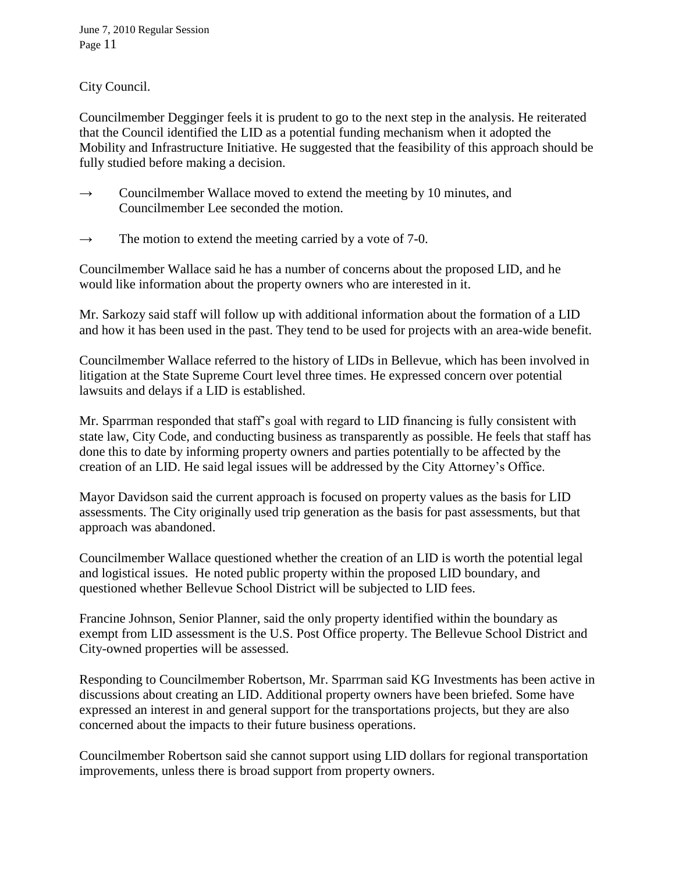City Council.

Councilmember Degginger feels it is prudent to go to the next step in the analysis. He reiterated that the Council identified the LID as a potential funding mechanism when it adopted the Mobility and Infrastructure Initiative. He suggested that the feasibility of this approach should be fully studied before making a decision.

- $\rightarrow$  Councilmember Wallace moved to extend the meeting by 10 minutes, and Councilmember Lee seconded the motion.
- $\rightarrow$  The motion to extend the meeting carried by a vote of 7-0.

Councilmember Wallace said he has a number of concerns about the proposed LID, and he would like information about the property owners who are interested in it.

Mr. Sarkozy said staff will follow up with additional information about the formation of a LID and how it has been used in the past. They tend to be used for projects with an area-wide benefit.

Councilmember Wallace referred to the history of LIDs in Bellevue, which has been involved in litigation at the State Supreme Court level three times. He expressed concern over potential lawsuits and delays if a LID is established.

Mr. Sparrman responded that staff's goal with regard to LID financing is fully consistent with state law, City Code, and conducting business as transparently as possible. He feels that staff has done this to date by informing property owners and parties potentially to be affected by the creation of an LID. He said legal issues will be addressed by the City Attorney's Office.

Mayor Davidson said the current approach is focused on property values as the basis for LID assessments. The City originally used trip generation as the basis for past assessments, but that approach was abandoned.

Councilmember Wallace questioned whether the creation of an LID is worth the potential legal and logistical issues. He noted public property within the proposed LID boundary, and questioned whether Bellevue School District will be subjected to LID fees.

Francine Johnson, Senior Planner, said the only property identified within the boundary as exempt from LID assessment is the U.S. Post Office property. The Bellevue School District and City-owned properties will be assessed.

Responding to Councilmember Robertson, Mr. Sparrman said KG Investments has been active in discussions about creating an LID. Additional property owners have been briefed. Some have expressed an interest in and general support for the transportations projects, but they are also concerned about the impacts to their future business operations.

Councilmember Robertson said she cannot support using LID dollars for regional transportation improvements, unless there is broad support from property owners.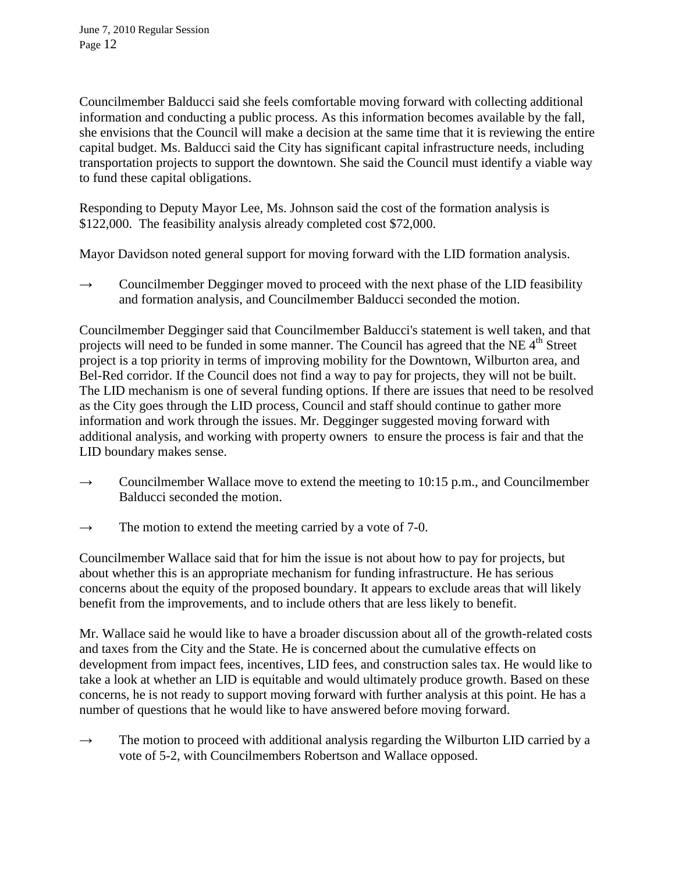Councilmember Balducci said she feels comfortable moving forward with collecting additional information and conducting a public process. As this information becomes available by the fall, she envisions that the Council will make a decision at the same time that it is reviewing the entire capital budget. Ms. Balducci said the City has significant capital infrastructure needs, including transportation projects to support the downtown. She said the Council must identify a viable way to fund these capital obligations.

Responding to Deputy Mayor Lee, Ms. Johnson said the cost of the formation analysis is \$122,000. The feasibility analysis already completed cost \$72,000.

Mayor Davidson noted general support for moving forward with the LID formation analysis.

 $\rightarrow$  Councilmember Degginger moved to proceed with the next phase of the LID feasibility and formation analysis, and Councilmember Balducci seconded the motion.

Councilmember Degginger said that Councilmember Balducci's statement is well taken, and that projects will need to be funded in some manner. The Council has agreed that the NE 4<sup>th</sup> Street project is a top priority in terms of improving mobility for the Downtown, Wilburton area, and Bel-Red corridor. If the Council does not find a way to pay for projects, they will not be built. The LID mechanism is one of several funding options. If there are issues that need to be resolved as the City goes through the LID process, Council and staff should continue to gather more information and work through the issues. Mr. Degginger suggested moving forward with additional analysis, and working with property owners to ensure the process is fair and that the LID boundary makes sense.

- $\rightarrow$  Councilmember Wallace move to extend the meeting to 10:15 p.m., and Councilmember Balducci seconded the motion.
- $\rightarrow$  The motion to extend the meeting carried by a vote of 7-0.

Councilmember Wallace said that for him the issue is not about how to pay for projects, but about whether this is an appropriate mechanism for funding infrastructure. He has serious concerns about the equity of the proposed boundary. It appears to exclude areas that will likely benefit from the improvements, and to include others that are less likely to benefit.

Mr. Wallace said he would like to have a broader discussion about all of the growth-related costs and taxes from the City and the State. He is concerned about the cumulative effects on development from impact fees, incentives, LID fees, and construction sales tax. He would like to take a look at whether an LID is equitable and would ultimately produce growth. Based on these concerns, he is not ready to support moving forward with further analysis at this point. He has a number of questions that he would like to have answered before moving forward.

 $\rightarrow$  The motion to proceed with additional analysis regarding the Wilburton LID carried by a vote of 5-2, with Councilmembers Robertson and Wallace opposed.